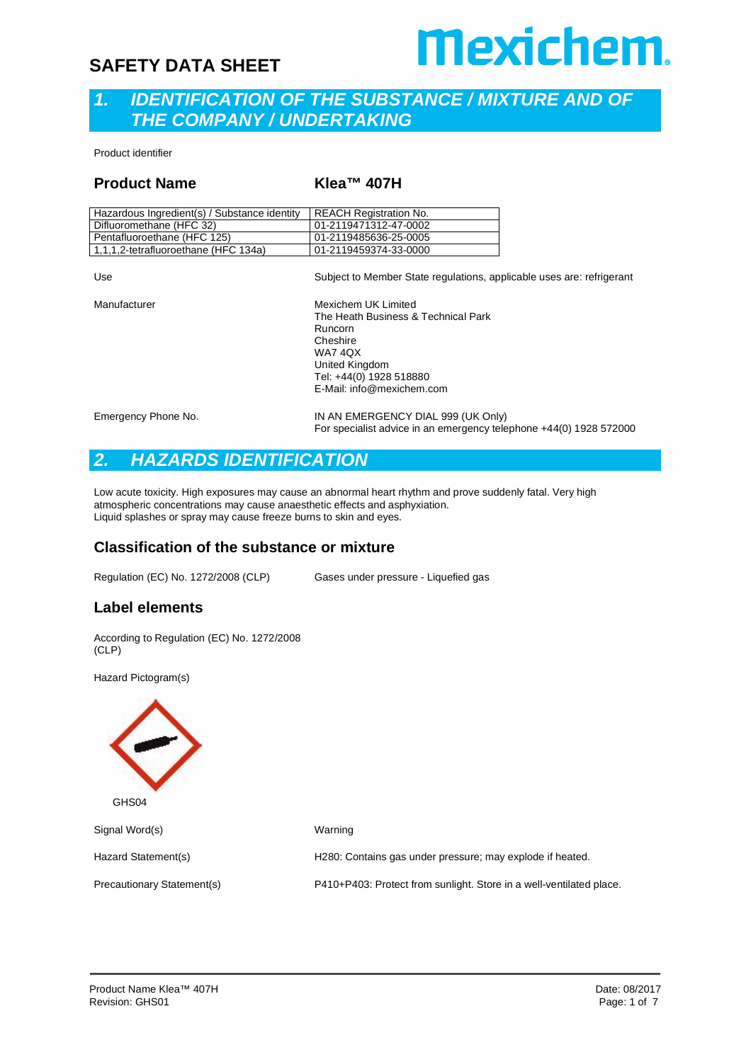## **Mexichem.**

#### *1. IDENTIFICATION OF THE SUBSTANCE / MIXTURE AND OF THE COMPANY / UNDERTAKING*

Product identifier

#### **Product Name Klea™ 407H**

| Hazardous Ingredient(s) / Substance identity | <b>REACH Registration No.</b> |
|----------------------------------------------|-------------------------------|
| Difluoromethane (HFC 32)                     | 01-2119471312-47-0002         |
| Pentafluoroethane (HFC 125)                  | 01-2119485636-25-0005         |
| 1,1,1,2-tetrafluoroethane (HFC 134a)         | 01-2119459374-33-0000         |

| Use                 | Subject to Member State regulations, applicable uses are: refrigerant                                                                                                  |
|---------------------|------------------------------------------------------------------------------------------------------------------------------------------------------------------------|
| Manufacturer        | Mexichem UK Limited<br>The Heath Business & Technical Park<br>Runcorn<br>Cheshire<br>WA7 4QX<br>United Kingdom<br>Tel: +44(0) 1928 518880<br>E-Mail: info@mexichem.com |
| Emergency Phone No. | IN AN EMERGENCY DIAL 999 (UK Only)<br>For specialist advice in an emergency telephone +44(0) 1928 572000                                                               |

#### *2. HAZARDS IDENTIFICATION*

Low acute toxicity. High exposures may cause an abnormal heart rhythm and prove suddenly fatal. Very high atmospheric concentrations may cause anaesthetic effects and asphyxiation. Liquid splashes or spray may cause freeze burns to skin and eyes.

#### **Classification of the substance or mixture**

Regulation (EC) No. 1272/2008 (CLP) Gases under pressure - Liquefied gas

#### **Label elements**

According to Regulation (EC) No. 1272/2008 (CLP)

Hazard Pictogram(s)

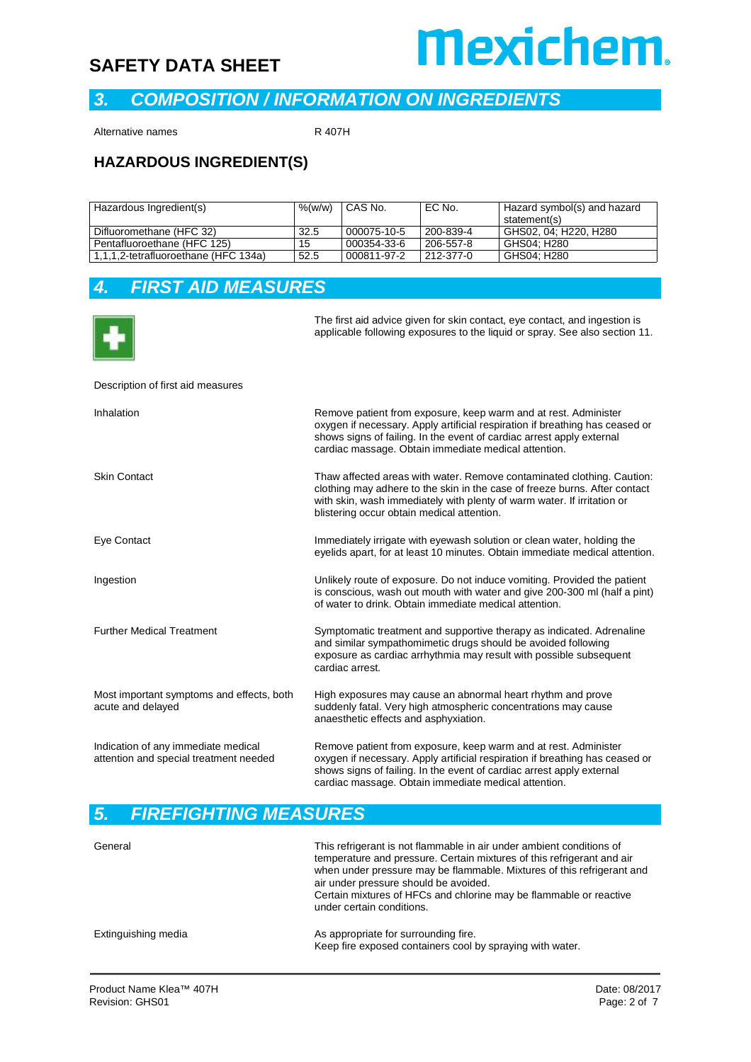

#### *3. COMPOSITION / INFORMATION ON INGREDIENTS*

Alternative names R 407H

#### **HAZARDOUS INGREDIENT(S)**

| Hazardous Ingredient(s)              | %(w/w) | CAS No.     | EC No.    | Hazard symbol(s) and hazard |  |
|--------------------------------------|--------|-------------|-----------|-----------------------------|--|
|                                      |        |             |           | statement(s)                |  |
| Difluoromethane (HFC 32)             | 32.5   | 000075-10-5 | 200-839-4 | GHS02, 04: H220, H280       |  |
| Pentafluoroethane (HFC 125)          | 15     | 000354-33-6 | 206-557-8 | GHS04: H280                 |  |
| 1,1,1,2-tetrafluoroethane (HFC 134a) | 52.5   | 000811-97-2 | 212-377-0 | GHS04; H280                 |  |

#### *4. FIRST AID MEASURES*



The first aid advice given for skin contact, eye contact, and ingestion is applicable following exposures to the liquid or spray. See also section 11.

#### Description of first aid measures

| Inhalation                                                                    | Remove patient from exposure, keep warm and at rest. Administer<br>oxygen if necessary. Apply artificial respiration if breathing has ceased or<br>shows signs of failing. In the event of cardiac arrest apply external<br>cardiac massage. Obtain immediate medical attention. |
|-------------------------------------------------------------------------------|----------------------------------------------------------------------------------------------------------------------------------------------------------------------------------------------------------------------------------------------------------------------------------|
| <b>Skin Contact</b>                                                           | Thaw affected areas with water. Remove contaminated clothing. Caution:<br>clothing may adhere to the skin in the case of freeze burns. After contact<br>with skin, wash immediately with plenty of warm water. If irritation or<br>blistering occur obtain medical attention.    |
| Eye Contact                                                                   | Immediately irrigate with eyewash solution or clean water, holding the<br>eyelids apart, for at least 10 minutes. Obtain immediate medical attention.                                                                                                                            |
| Ingestion                                                                     | Unlikely route of exposure. Do not induce vomiting. Provided the patient<br>is conscious, wash out mouth with water and give 200-300 ml (half a pint)<br>of water to drink. Obtain immediate medical attention.                                                                  |
| <b>Further Medical Treatment</b>                                              | Symptomatic treatment and supportive therapy as indicated. Adrenaline<br>and similar sympathomimetic drugs should be avoided following<br>exposure as cardiac arrhythmia may result with possible subsequent<br>cardiac arrest.                                                  |
| Most important symptoms and effects, both<br>acute and delayed                | High exposures may cause an abnormal heart rhythm and prove<br>suddenly fatal. Very high atmospheric concentrations may cause<br>anaesthetic effects and asphyxiation.                                                                                                           |
| Indication of any immediate medical<br>attention and special treatment needed | Remove patient from exposure, keep warm and at rest. Administer<br>oxygen if necessary. Apply artificial respiration if breathing has ceased or<br>shows signs of failing. In the event of cardiac arrest apply external<br>cardiac massage. Obtain immediate medical attention. |

#### *5. FIREFIGHTING MEASURES*

| General             | This refrigerant is not flammable in air under ambient conditions of<br>temperature and pressure. Certain mixtures of this refrigerant and air<br>when under pressure may be flammable. Mixtures of this refrigerant and<br>air under pressure should be avoided.<br>Certain mixtures of HFCs and chlorine may be flammable or reactive<br>under certain conditions. |
|---------------------|----------------------------------------------------------------------------------------------------------------------------------------------------------------------------------------------------------------------------------------------------------------------------------------------------------------------------------------------------------------------|
| Extinguishing media | As appropriate for surrounding fire.<br>Keep fire exposed containers cool by spraying with water.                                                                                                                                                                                                                                                                    |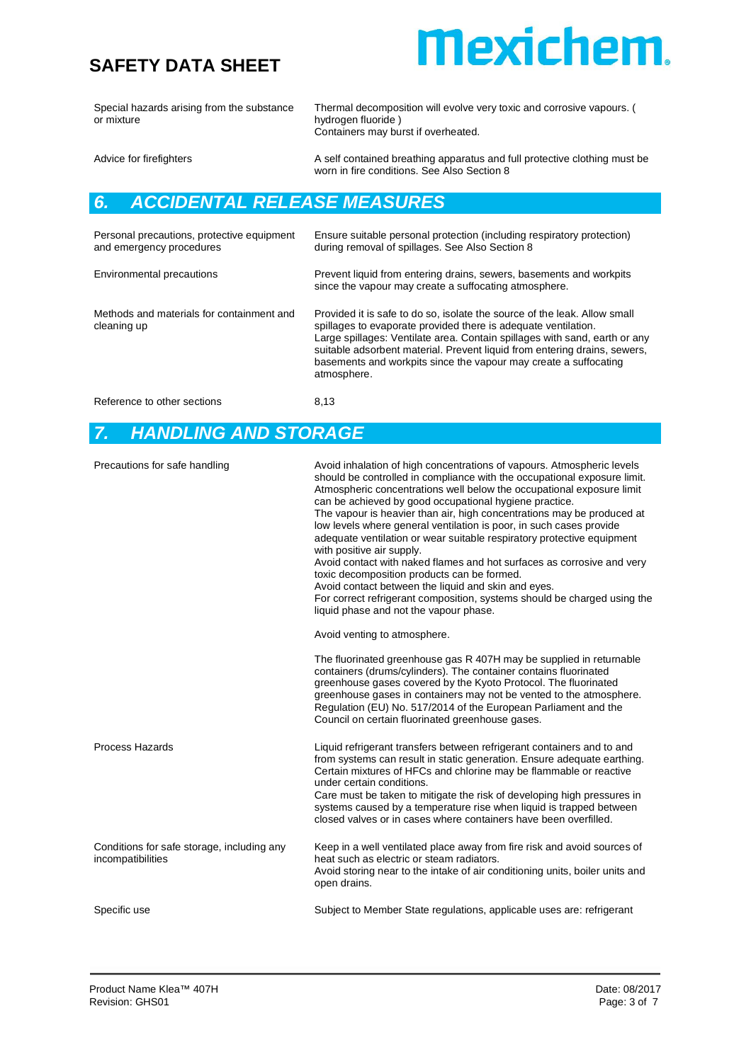### **Mexichem.**

Special hazards arising from the substance or mixture

Thermal decomposition will evolve very toxic and corrosive vapours. ( hydrogen fluoride ) Containers may burst if overheated.

Advice for firefighters **A** self contained breathing apparatus and full protective clothing must be worn in fire conditions. See Also Section 8

#### *6. ACCIDENTAL RELEASE MEASURES*

| Personal precautions, protective equipment<br>and emergency procedures | Ensure suitable personal protection (including respiratory protection)<br>during removal of spillages. See Also Section 8                                                                                                                                                                                                                                                                 |
|------------------------------------------------------------------------|-------------------------------------------------------------------------------------------------------------------------------------------------------------------------------------------------------------------------------------------------------------------------------------------------------------------------------------------------------------------------------------------|
| Environmental precautions                                              | Prevent liquid from entering drains, sewers, basements and workpits<br>since the vapour may create a suffocating atmosphere.                                                                                                                                                                                                                                                              |
| Methods and materials for containment and<br>cleaning up               | Provided it is safe to do so, isolate the source of the leak. Allow small<br>spillages to evaporate provided there is adequate ventilation.<br>Large spillages: Ventilate area. Contain spillages with sand, earth or any<br>suitable adsorbent material. Prevent liquid from entering drains, sewers,<br>basements and workpits since the vapour may create a suffocating<br>atmosphere. |
| Reference to other sections                                            | 8,13                                                                                                                                                                                                                                                                                                                                                                                      |

#### *7. HANDLING AND STORAGE*

| Precautions for safe handling                                   | Avoid inhalation of high concentrations of vapours. Atmospheric levels<br>should be controlled in compliance with the occupational exposure limit.<br>Atmospheric concentrations well below the occupational exposure limit<br>can be achieved by good occupational hygiene practice.<br>The vapour is heavier than air, high concentrations may be produced at<br>low levels where general ventilation is poor, in such cases provide<br>adequate ventilation or wear suitable respiratory protective equipment<br>with positive air supply.<br>Avoid contact with naked flames and hot surfaces as corrosive and very<br>toxic decomposition products can be formed.<br>Avoid contact between the liquid and skin and eyes.<br>For correct refrigerant composition, systems should be charged using the<br>liquid phase and not the vapour phase. |
|-----------------------------------------------------------------|-----------------------------------------------------------------------------------------------------------------------------------------------------------------------------------------------------------------------------------------------------------------------------------------------------------------------------------------------------------------------------------------------------------------------------------------------------------------------------------------------------------------------------------------------------------------------------------------------------------------------------------------------------------------------------------------------------------------------------------------------------------------------------------------------------------------------------------------------------|
|                                                                 | Avoid venting to atmosphere.                                                                                                                                                                                                                                                                                                                                                                                                                                                                                                                                                                                                                                                                                                                                                                                                                        |
|                                                                 | The fluorinated greenhouse gas R 407H may be supplied in returnable<br>containers (drums/cylinders). The container contains fluorinated<br>greenhouse gases covered by the Kyoto Protocol. The fluorinated<br>greenhouse gases in containers may not be vented to the atmosphere.<br>Regulation (EU) No. 517/2014 of the European Parliament and the<br>Council on certain fluorinated greenhouse gases.                                                                                                                                                                                                                                                                                                                                                                                                                                            |
| Process Hazards                                                 | Liquid refrigerant transfers between refrigerant containers and to and<br>from systems can result in static generation. Ensure adequate earthing.<br>Certain mixtures of HFCs and chlorine may be flammable or reactive<br>under certain conditions.<br>Care must be taken to mitigate the risk of developing high pressures in<br>systems caused by a temperature rise when liquid is trapped between<br>closed valves or in cases where containers have been overfilled.                                                                                                                                                                                                                                                                                                                                                                          |
| Conditions for safe storage, including any<br>incompatibilities | Keep in a well ventilated place away from fire risk and avoid sources of<br>heat such as electric or steam radiators.<br>Avoid storing near to the intake of air conditioning units, boiler units and<br>open drains.                                                                                                                                                                                                                                                                                                                                                                                                                                                                                                                                                                                                                               |
| Specific use                                                    | Subject to Member State regulations, applicable uses are: refrigerant                                                                                                                                                                                                                                                                                                                                                                                                                                                                                                                                                                                                                                                                                                                                                                               |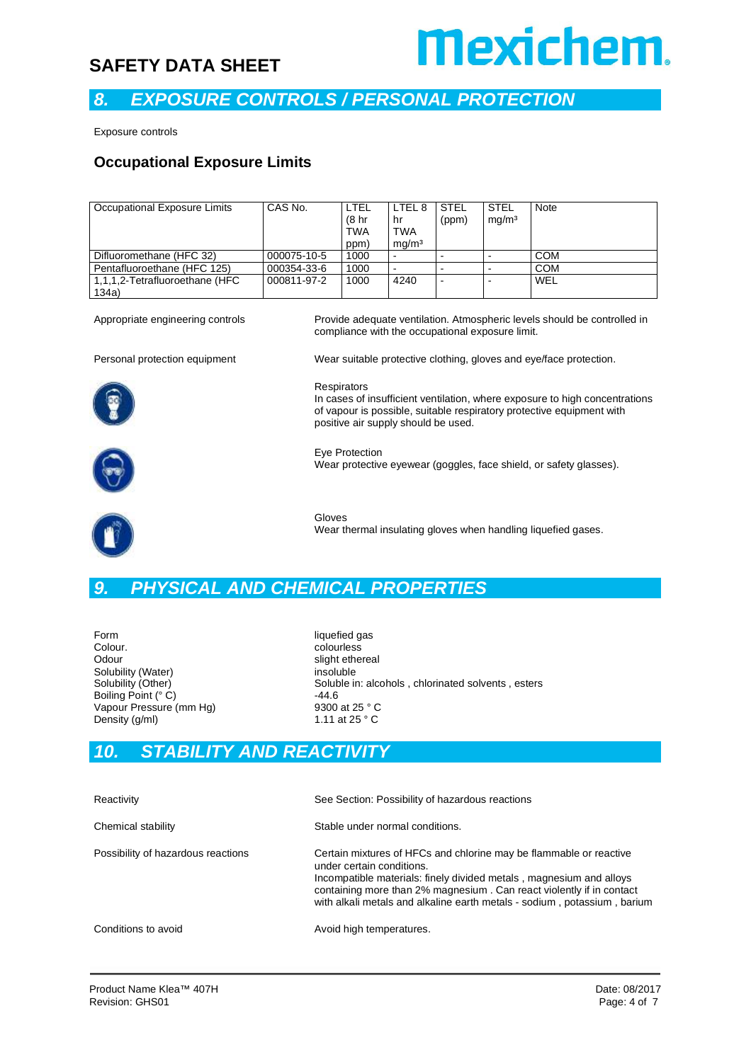

#### *8. EXPOSURE CONTROLS / PERSONAL PROTECTION*

Exposure controls

#### **Occupational Exposure Limits**

| Occupational Exposure Limits   | CAS No.     | LTEL               | LTEL <sub>8</sub>        | <b>STEL</b>    | <b>STEL</b>       | Note       |
|--------------------------------|-------------|--------------------|--------------------------|----------------|-------------------|------------|
|                                |             | (8 <sub>hr</sub> ) | hr                       | (ppm)          | mq/m <sup>3</sup> |            |
|                                |             | <b>TWA</b>         | <b>TWA</b>               |                |                   |            |
|                                |             | ppm)               | ma/m <sup>3</sup>        |                |                   |            |
| Difluoromethane (HFC 32)       | 000075-10-5 | 1000               | $\blacksquare$           | -              |                   | <b>COM</b> |
| Pentafluoroethane (HFC 125)    | 000354-33-6 | 1000               | $\overline{\phantom{a}}$ |                |                   | <b>COM</b> |
| 1,1,1,2-Tetrafluoroethane (HFC | 000811-97-2 | 1000               | 4240                     | $\blacksquare$ |                   | WEL        |
| 134a)                          |             |                    |                          |                |                   |            |

Appropriate engineering controls Provide adequate ventilation. Atmospheric levels should be controlled in compliance with the occupational exposure limit.



Personal protection equipment Wear suitable protective clothing, gloves and eye/face protection.

**Respirators** In cases of insufficient ventilation, where exposure to high concentrations of vapour is possible, suitable respiratory protective equipment with positive air supply should be used.



Eye Protection Wear protective eyewear (goggles, face shield, or safety glasses).



Gloves Wear thermal insulating gloves when handling liquefied gases.

#### *9. PHYSICAL AND CHEMICAL PROPERTIES*

Form liquefied gas<br>
Colour. Coloures Colour.<br>
Colour<br>
Colour<br>
Colour<br>
Colour<br>
Colour<br>
Colour<br>
Colour<br>
Colour<br>
Colour<br>
Colour<br>
Colour<br>
Colour<br>
Colour<br>
Colour<br>
Colour<br>
Colour<br>
Colour<br>
Colour<br>
Colour<br>
Colour<br>
Colour<br>
Colour<br>
Colour<br>
Colour<br>
Colour<br>
Colour<br>
Colou Solubility (Water) insoluble<br>Solubility (Other) insoluble in Soluble in Soluble in Soluble in Soluble in Soluble in Soluble in Soluble in Soluble in Soluble in Soluble in Soluble in Soluble in Soluble in Soluble in Soluble Boiling Point (° C) 51 = 44.6<br>
Vapour Pressure (mm Hg) 5300 at 25 ° C Vapour Pressure (mm Hg) 9300 at 25 ° C<br>Density (a/ml) 9300 at 25 ° C Density (g/ml)

slight ethereal Soluble in: alcohols, chlorinated solvents, esters

#### *10. STABILITY AND REACTIVITY*

| Reactivity                         | See Section: Possibility of hazardous reactions                                                                                                                                                                                                                                                                            |
|------------------------------------|----------------------------------------------------------------------------------------------------------------------------------------------------------------------------------------------------------------------------------------------------------------------------------------------------------------------------|
| Chemical stability                 | Stable under normal conditions.                                                                                                                                                                                                                                                                                            |
| Possibility of hazardous reactions | Certain mixtures of HFCs and chlorine may be flammable or reactive<br>under certain conditions.<br>Incompatible materials: finely divided metals, magnesium and alloys<br>containing more than 2% magnesium. Can react violently if in contact<br>with alkali metals and alkaline earth metals - sodium, potassium, barium |
| Conditions to avoid                | Avoid high temperatures.                                                                                                                                                                                                                                                                                                   |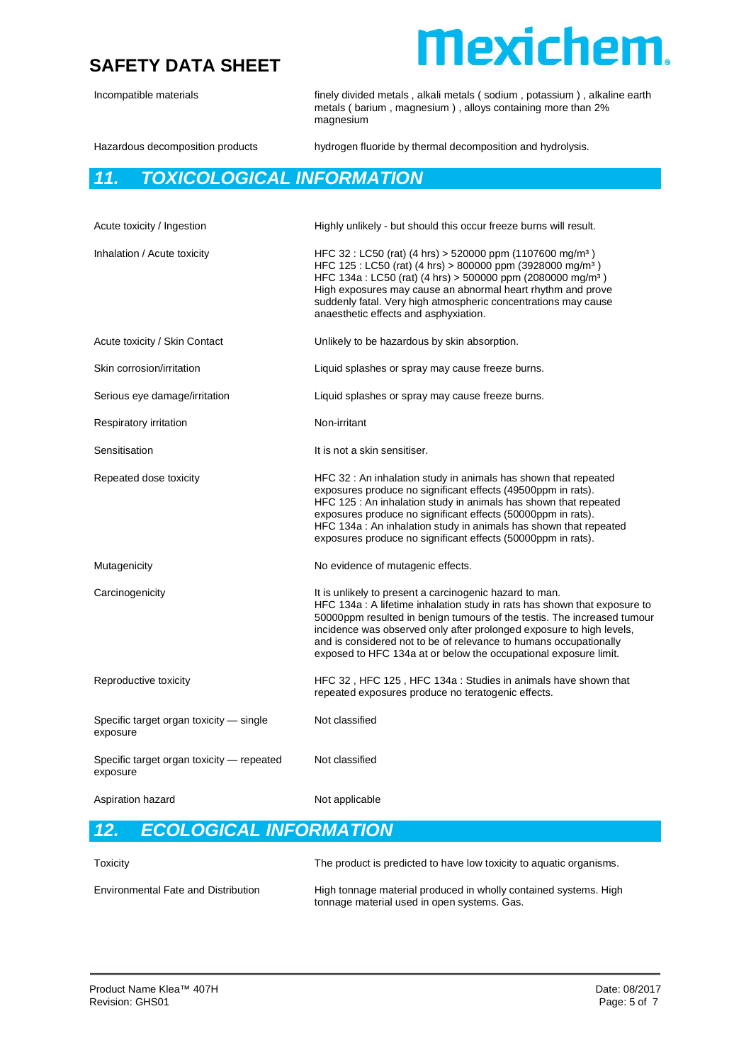

Incompatible materials **finely divided metals , alkali metals (** sodium , potassium ) , alkaline earth metals ( barium , magnesium ) , alloys containing more than 2% magnesium Hazardous decomposition products hydrogen fluoride by thermal decomposition and hydrolysis. *11. TOXICOLOGICAL INFORMATION* Acute toxicity / Ingestion Highly unlikely - but should this occur freeze burns will result. Inhalation / Acute toxicity  $HFC 32$ : LC50 (rat) (4 hrs) > 520000 ppm (1107600 mg/m<sup>3</sup>) HFC 125 : LC50 (rat) (4 hrs) > 800000 ppm (3928000 mg/m³ ) HFC 134a : LC50 (rat) (4 hrs) > 500000 ppm (2080000 mg/m³ ) High exposures may cause an abnormal heart rhythm and prove suddenly fatal. Very high atmospheric concentrations may cause anaesthetic effects and asphyxiation. Acute toxicity / Skin Contact Unlikely to be hazardous by skin absorption. Skin corrosion/irritation **Liquid splashes or spray may cause freeze burns.** Serious eye damage/irritation Liquid splashes or spray may cause freeze burns. Respiratory irritation Non-irritant Sensitisation **It is not a skin sensitiser.** Repeated dose toxicity HFC 32 : An inhalation study in animals has shown that repeated exposures produce no significant effects (49500ppm in rats). HFC 125 : An inhalation study in animals has shown that repeated exposures produce no significant effects (50000ppm in rats). HFC 134a : An inhalation study in animals has shown that repeated exposures produce no significant effects (50000ppm in rats). Mutagenicity Mutagenicity Mutagenic effects. Carcinogenicity **It is unlikely to present a carcinogenic hazard to man.** HFC 134a : A lifetime inhalation study in rats has shown that exposure to 50000ppm resulted in benign tumours of the testis. The increased tumour incidence was observed only after prolonged exposure to high levels, and is considered not to be of relevance to humans occupationally exposed to HFC 134a at or below the occupational exposure limit. Reproductive toxicity **HFC 32** , HFC 125 , HFC 134a : Studies in animals have shown that repeated exposures produce no teratogenic effects. Specific target organ toxicity — single exposure Not classified Specific target organ toxicity — repeated exposure Not classified Aspiration hazard Not applicable

#### *12. ECOLOGICAL INFORMATION*

| Toxicity                                   | The product is predicted to have low toxicity to aquatic organisms.                                             |
|--------------------------------------------|-----------------------------------------------------------------------------------------------------------------|
| <b>Environmental Fate and Distribution</b> | High tonnage material produced in wholly contained systems. High<br>tonnage material used in open systems. Gas. |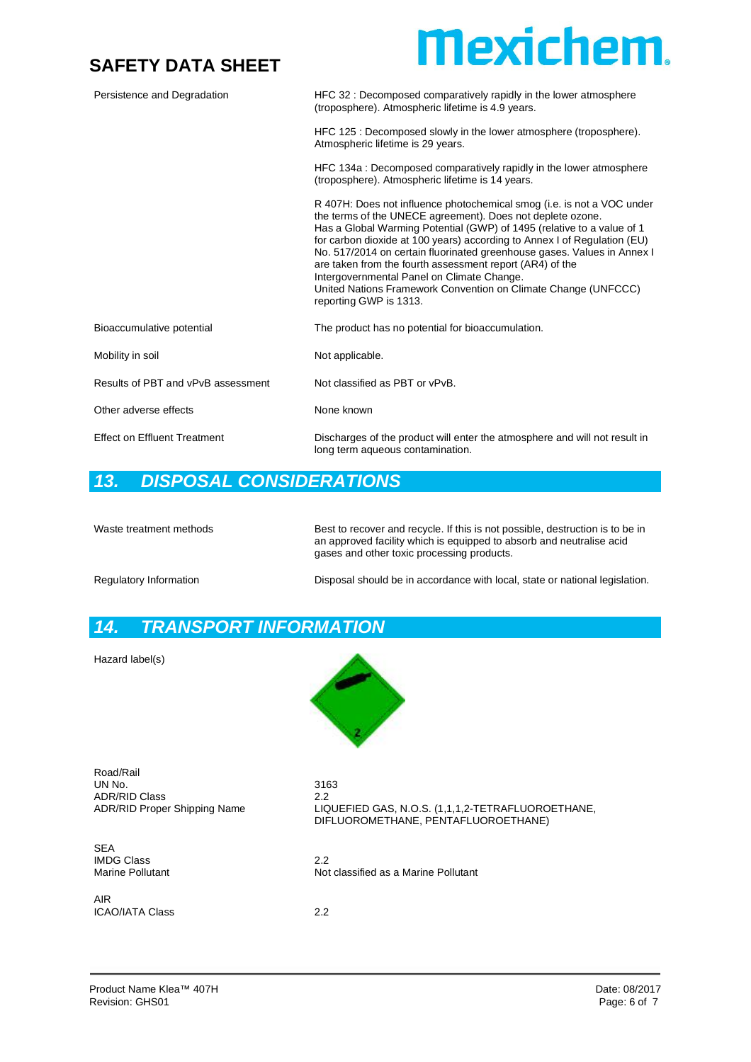

| Persistence and Degradation         | HFC 32 : Decomposed comparatively rapidly in the lower atmosphere<br>(troposphere). Atmospheric lifetime is 4.9 years.                                                                                                                                                                                                                                                                                                                                                                                                                                                      |
|-------------------------------------|-----------------------------------------------------------------------------------------------------------------------------------------------------------------------------------------------------------------------------------------------------------------------------------------------------------------------------------------------------------------------------------------------------------------------------------------------------------------------------------------------------------------------------------------------------------------------------|
|                                     | HFC 125 : Decomposed slowly in the lower atmosphere (troposphere).<br>Atmospheric lifetime is 29 years.                                                                                                                                                                                                                                                                                                                                                                                                                                                                     |
|                                     | HFC 134a : Decomposed comparatively rapidly in the lower atmosphere<br>(troposphere). Atmospheric lifetime is 14 years.                                                                                                                                                                                                                                                                                                                                                                                                                                                     |
|                                     | R 407H: Does not influence photochemical smog (i.e. is not a VOC under<br>the terms of the UNECE agreement). Does not deplete ozone.<br>Has a Global Warming Potential (GWP) of 1495 (relative to a value of 1<br>for carbon dioxide at 100 years) according to Annex I of Regulation (EU)<br>No. 517/2014 on certain fluorinated greenhouse gases. Values in Annex I<br>are taken from the fourth assessment report (AR4) of the<br>Intergovernmental Panel on Climate Change.<br>United Nations Framework Convention on Climate Change (UNFCCC)<br>reporting GWP is 1313. |
| Bioaccumulative potential           | The product has no potential for bioaccumulation.                                                                                                                                                                                                                                                                                                                                                                                                                                                                                                                           |
| Mobility in soil                    | Not applicable.                                                                                                                                                                                                                                                                                                                                                                                                                                                                                                                                                             |
| Results of PBT and vPvB assessment  | Not classified as PBT or vPvB.                                                                                                                                                                                                                                                                                                                                                                                                                                                                                                                                              |
| Other adverse effects               | None known                                                                                                                                                                                                                                                                                                                                                                                                                                                                                                                                                                  |
| <b>Effect on Effluent Treatment</b> | Discharges of the product will enter the atmosphere and will not result in<br>long term aqueous contamination.                                                                                                                                                                                                                                                                                                                                                                                                                                                              |

#### *13. DISPOSAL CONSIDERATIONS*

| Waste treatment methods | Best to recover and recycle. If this is not possible, destruction is to be in<br>an approved facility which is equipped to absorb and neutralise acid<br>gases and other toxic processing products. |
|-------------------------|-----------------------------------------------------------------------------------------------------------------------------------------------------------------------------------------------------|
| Regulatory Information  | Disposal should be in accordance with local, state or national legislation.                                                                                                                         |

#### *14. TRANSPORT INFORMATION*

Hazard label(s)



Road/Rail UN No. 3163 ADR/RID Class<br>ADR/RID Proper Shipping Name

SEA IMDG Class 2.2

AIR ICAO/IATA Class 2.2

LIQUEFIED GAS, N.O.S. (1,1,1,2-TETRAFLUOROETHANE, DIFLUOROMETHANE, PENTAFLUOROETHANE)

Not classified as a Marine Pollutant